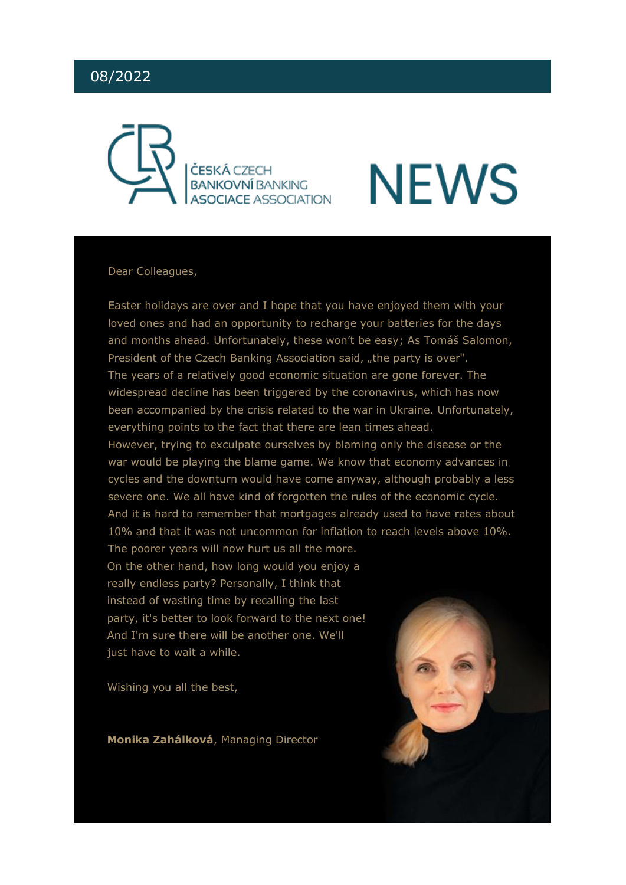#### 08/2022



### **NEWS**

#### Dear Colleagues,

Easter holidays are over and I hope that you have enjoyed them with your loved ones and had an opportunity to recharge your batteries for the days and months ahead. Unfortunately, these won't be easy; As Tomáš Salomon, President of the Czech Banking Association said, "the party is over". The years of a relatively good economic situation are gone forever. The widespread decline has been triggered by the coronavirus, which has now been accompanied by the crisis related to the war in Ukraine. Unfortunately, everything points to the fact that there are lean times ahead.

However, trying to exculpate ourselves by blaming only the disease or the war would be playing the blame game. We know that economy advances in cycles and the downturn would have come anyway, although probably a less severe one. We all have kind of forgotten the rules of the economic cycle. And it is hard to remember that mortgages already used to have rates about 10% and that it was not uncommon for inflation to reach levels above 10%. The poorer years will now hurt us all the more.

On the other hand, how long would you enjoy a really endless party? Personally, I think that instead of wasting time by recalling the last party, it's better to look forward to the next one! And I'm sure there will be another one. We'll just have to wait a while.

Wishing you all the best,

**Monika Zahálková**, Managing Director

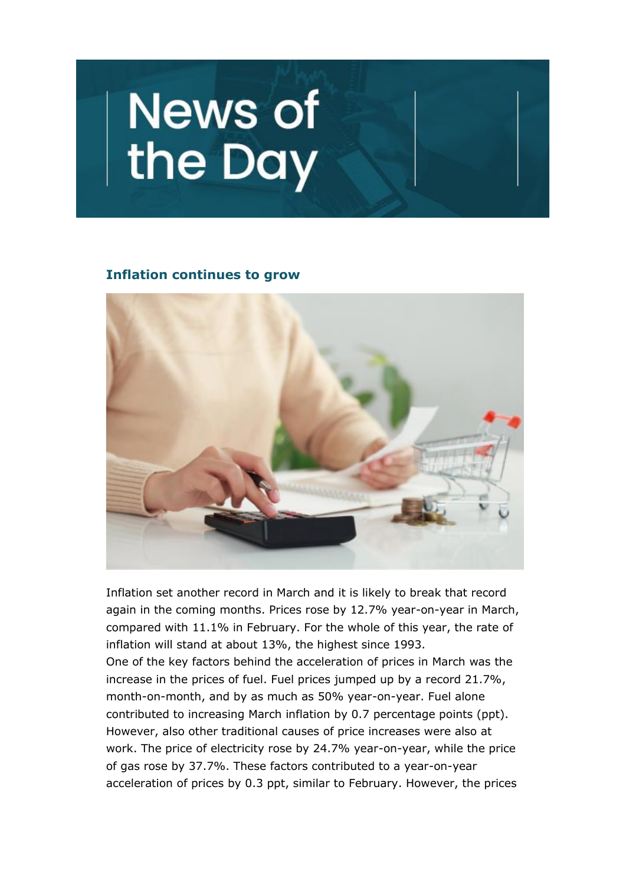# News of<br>the Day

#### **Inflation continues to grow**



Inflation set another record in March and it is likely to break that record again in the coming months. Prices rose by 12.7% year-on-year in March, compared with 11.1% in February. For the whole of this year, the rate of inflation will stand at about 13%, the highest since 1993. One of the key factors behind the acceleration of prices in March was the increase in the prices of fuel. Fuel prices jumped up by a record 21.7%, month-on-month, and by as much as 50% year-on-year. Fuel alone contributed to increasing March inflation by 0.7 percentage points (ppt). However, also other traditional causes of price increases were also at work. The price of electricity rose by 24.7% year-on-year, while the price of gas rose by 37.7%. These factors contributed to a year-on-year acceleration of prices by 0.3 ppt, similar to February. However, the prices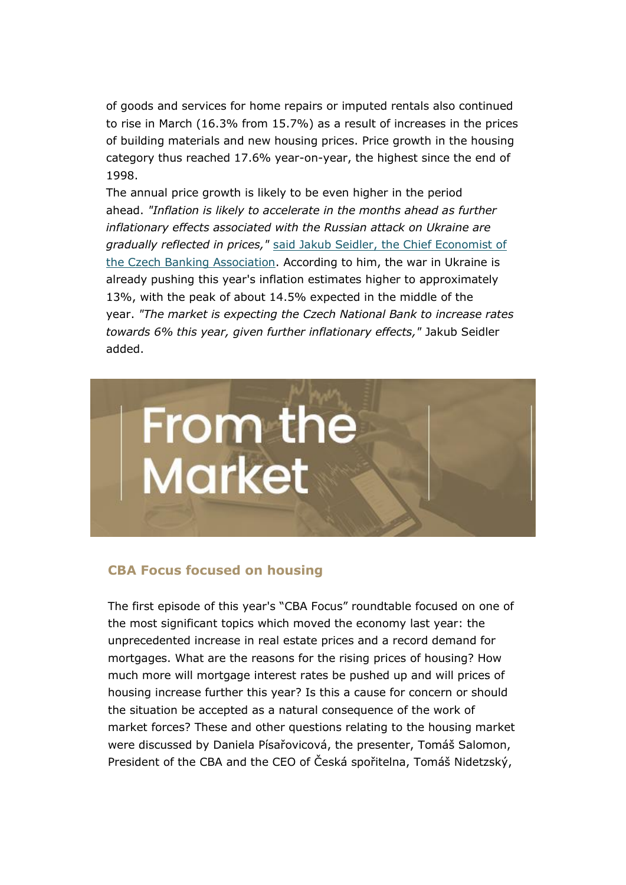of goods and services for home repairs or imputed rentals also continued to rise in March (16.3% from 15.7%) as a result of increases in the prices of building materials and new housing prices. Price growth in the housing category thus reached 17.6% year-on-year, the highest since the end of 1998.

The annual price growth is likely to be even higher in the period ahead. *"Inflation is likely to accelerate in the months ahead as further inflationary effects associated with the Russian attack on Ukraine are gradually reflected in prices,"* [said Jakub Seidler, the Chief Economist of](https://cbaonline.cz/breznova-inflace-zrychlila-nad-ocekavani-na-127)  [the Czech Banking Association.](https://cbaonline.cz/breznova-inflace-zrychlila-nad-ocekavani-na-127) According to him, the war in Ukraine is already pushing this year's inflation estimates higher to approximately 13%, with the peak of about 14.5% expected in the middle of the year. *"The market is expecting the Czech National Bank to increase rates towards 6% this year, given further inflationary effects,"* Jakub Seidler added.



#### **CBA Focus focused on housing**

The first episode of this year's "CBA Focus" roundtable focused on one of the most significant topics which moved the economy last year: the unprecedented increase in real estate prices and a record demand for mortgages. What are the reasons for the rising prices of housing? How much more will mortgage interest rates be pushed up and will prices of housing increase further this year? Is this a cause for concern or should the situation be accepted as a natural consequence of the work of market forces? These and other questions relating to the housing market were discussed by Daniela Písařovicová, the presenter, Tomáš Salomon, President of the CBA and the CEO of Česká spořitelna, Tomáš Nidetzský,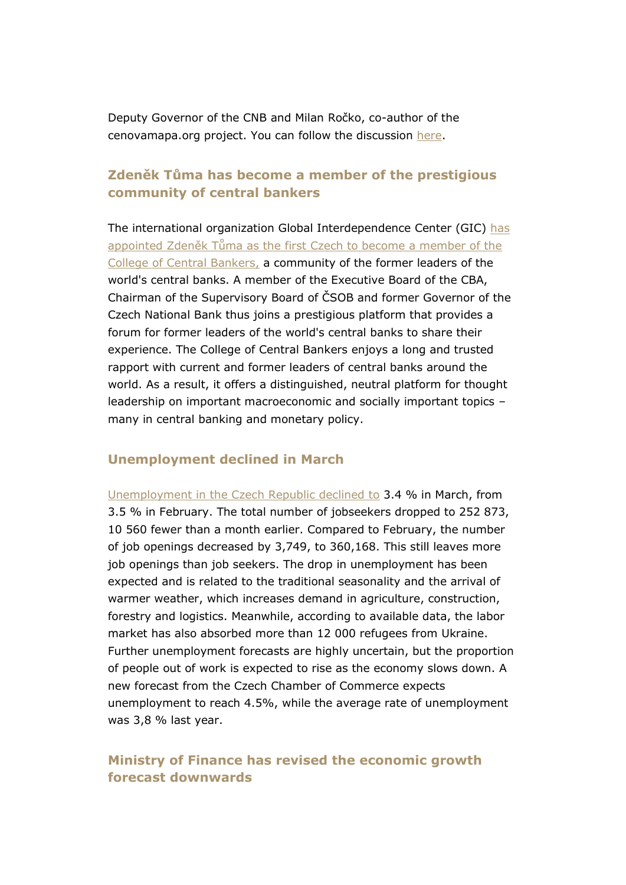Deputy Governor of the CNB and Milan Ročko, co-author of the cenovamapa.org project. You can follow the discussion [here.](https://youtu.be/4KYJ7V7KnS0)

#### **Zdeněk Tůma has become a member of the prestigious community of central bankers**

The international organization Global Interdependence Center (GIC) [has](https://cbaonline.cz/zdenek-tuma-clenem-prestizni-college-of-central-bankers)  app[ointed Zdeněk Tůma as the first Czech to become a member of the](https://cbaonline.cz/zdenek-tuma-clenem-prestizni-college-of-central-bankers)  [College of Central Bankers,](https://cbaonline.cz/zdenek-tuma-clenem-prestizni-college-of-central-bankers) a community of the former leaders of the world's central banks. A member of the Executive Board of the CBA, Chairman of the Supervisory Board of ČSOB and former Governor of the Czech National Bank thus joins a prestigious platform that provides a forum for former leaders of the world's central banks to share their experience. The College of Central Bankers enjoys a long and trusted rapport with current and former leaders of central banks around the world. As a result, it offers a distinguished, neutral platform for thought leadership on important macroeconomic and socially important topics – many in central banking and monetary policy.

#### **Unemployment declined in March**

[Unemployment in the Czech Republic declined to](https://cbaonline.cz/ekonomicky-komentar-cba-podil-nezamestnanych-osob-v-breznu-poklesl) 3.4 % in March, from 3.5 % in February. The total number of jobseekers dropped to 252 873, 10 560 fewer than a month earlier. Compared to February, the number of job openings decreased by 3,749, to 360,168. This still leaves more job openings than job seekers. The drop in unemployment has been expected and is related to the traditional seasonality and the arrival of warmer weather, which increases demand in agriculture, construction, forestry and logistics. Meanwhile, according to available data, the labor market has also absorbed more than 12 000 refugees from Ukraine. Further unemployment forecasts are highly uncertain, but the proportion of people out of work is expected to rise as the economy slows down. A new forecast from the Czech Chamber of Commerce expects unemployment to reach 4.5%, while the average rate of unemployment was 3,8 % last year.

#### **Ministry of Finance has revised the economic growth forecast downwards**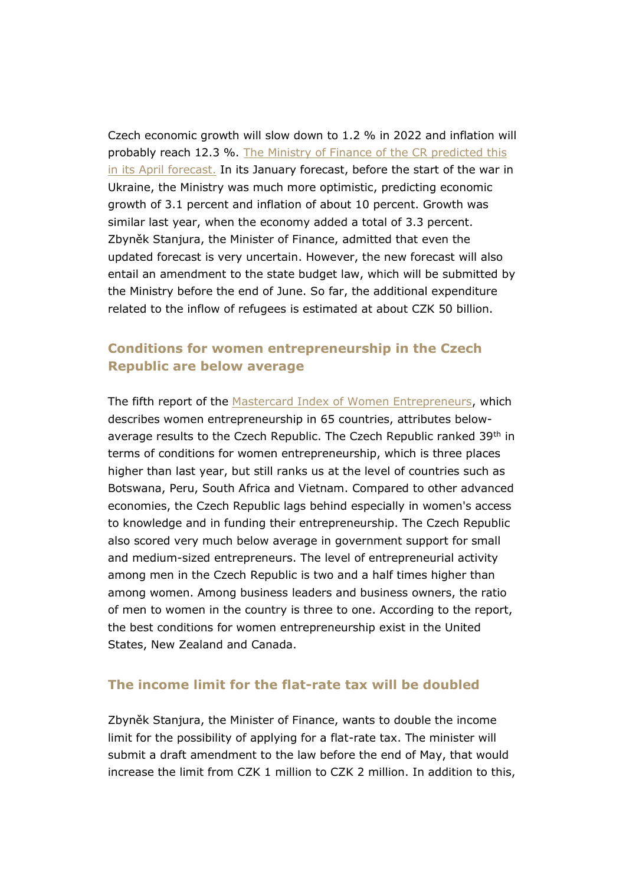Czech economic growth will slow down to 1.2 % in 2022 and inflation will probably reach 12.3 %. [The Ministry of Finance of the CR predicted this](https://www.mfcr.cz/cs/aktualne/tiskove-zpravy/2022/ekonomika-letos-zvolni-na-12-inflace-do-47119)  [in its April forecast.](https://www.mfcr.cz/cs/aktualne/tiskove-zpravy/2022/ekonomika-letos-zvolni-na-12-inflace-do-47119) In its January forecast, before the start of the war in Ukraine, the Ministry was much more optimistic, predicting economic growth of 3.1 percent and inflation of about 10 percent. Growth was similar last year, when the economy added a total of 3.3 percent. Zbyněk Stanjura, the Minister of Finance, admitted that even the updated forecast is very uncertain. However, the new forecast will also entail an amendment to the state budget law, which will be submitted by the Ministry before the end of June. So far, the additional expenditure related to the inflow of refugees is estimated at about CZK 50 billion.

#### **Conditions for women entrepreneurship in the Czech Republic are below average**

The fifth report of the [Mastercard Index of Women Entrepreneurs,](https://www.mastercard.com/news/media/phwevxcc/the-mastercard-index-of-women-entrepreneurs.pdf) which describes women entrepreneurship in 65 countries, attributes belowaverage results to the Czech Republic. The Czech Republic ranked 39<sup>th</sup> in terms of conditions for women entrepreneurship, which is three places higher than last year, but still ranks us at the level of countries such as Botswana, Peru, South Africa and Vietnam. Compared to other advanced economies, the Czech Republic lags behind especially in women's access to knowledge and in funding their entrepreneurship. The Czech Republic also scored very much below average in government support for small and medium-sized entrepreneurs. The level of entrepreneurial activity among men in the Czech Republic is two and a half times higher than among women. Among business leaders and business owners, the ratio of men to women in the country is three to one. According to the report, the best conditions for women entrepreneurship exist in the United States, New Zealand and Canada.

#### **The income limit for the flat-rate tax will be doubled**

Zbyněk Stanjura, the Minister of Finance, wants to double the income limit for the possibility of applying for a flat-rate tax. The minister will submit a draft amendment to the law before the end of May, that would increase the limit from CZK 1 million to CZK 2 million. In addition to this,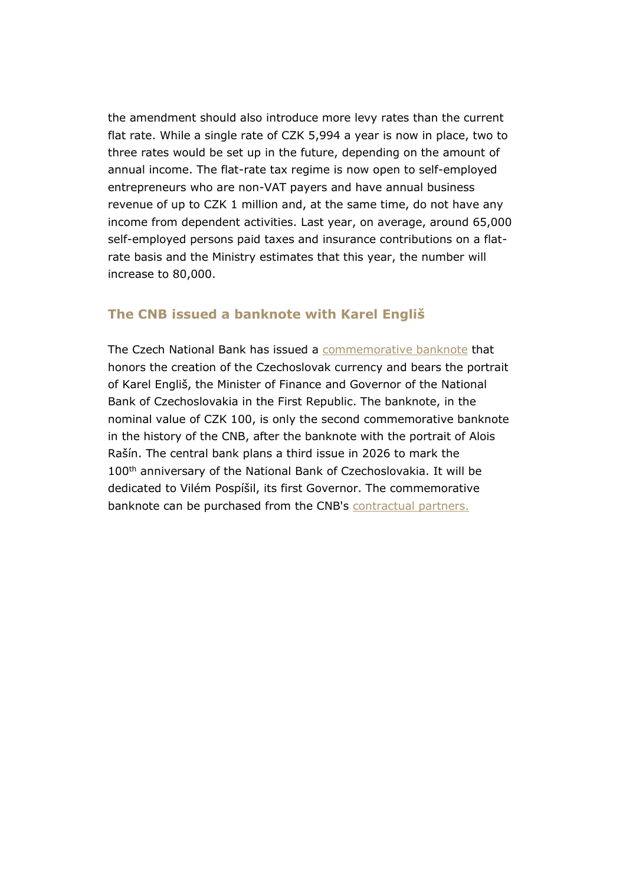the amendment should also introduce more levy rates than the current flat rate. While a single rate of CZK 5,994 a year is now in place, two to three rates would be set up in the future, depending on the amount of annual income. The flat-rate tax regime is now open to self-employed entrepreneurs who are non-VAT payers and have annual business revenue of up to CZK 1 million and, at the same time, do not have any income from dependent activities. Last year, on average, around 65,000 self-employed persons paid taxes and insurance contributions on a flatrate basis and the Ministry estimates that this year, the number will increase to 80,000.

#### **The CNB issued a banknote with Karel Engliš**

The Czech National Bank has issued a [commemorative banknote](https://www.youtube.com/watch?v=N6bgi-_D7DY) that honors the creation of the Czechoslovak currency and bears the portrait of Karel Engliš, the Minister of Finance and Governor of the National Bank of Czechoslovakia in the First Republic. The banknote, in the nominal value of CZK 100, is only the second commemorative banknote in the history of the CNB, after the banknote with the portrait of Alois Rašín. The central bank plans a third issue in 2026 to mark the 100<sup>th</sup> anniversary of the National Bank of Czechoslovakia. It will be dedicated to Vilém Pospíšil, its first Governor. The commemorative banknote can be purchased from the CNB's [contractual partners.](https://www.cnb.cz/cs/bankovky-a-mince/numizmatika/prodej-sberatelskeho-materialu/smluvni-partneri/)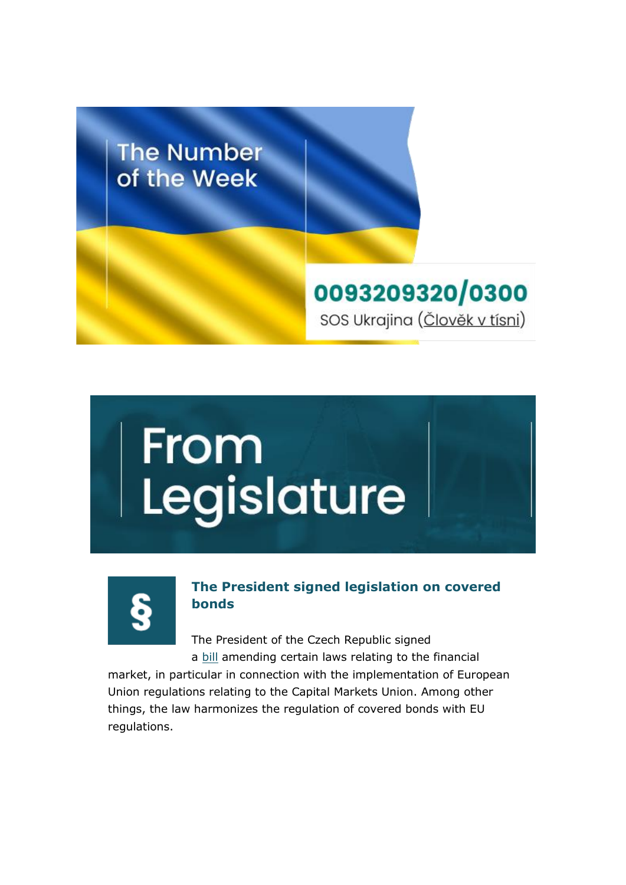

## From<br>Legislature



#### **The President signed legislation on covered bonds**

The President of the Czech Republic signed a [bill](https://www.senat.cz/xqw/webdav/pssenat/original/102937/86354) amending certain laws relating to the financial

market, in particular in connection with the implementation of European Union regulations relating to the Capital Markets Union. Among other things, the law harmonizes the regulation of covered bonds with EU regulations.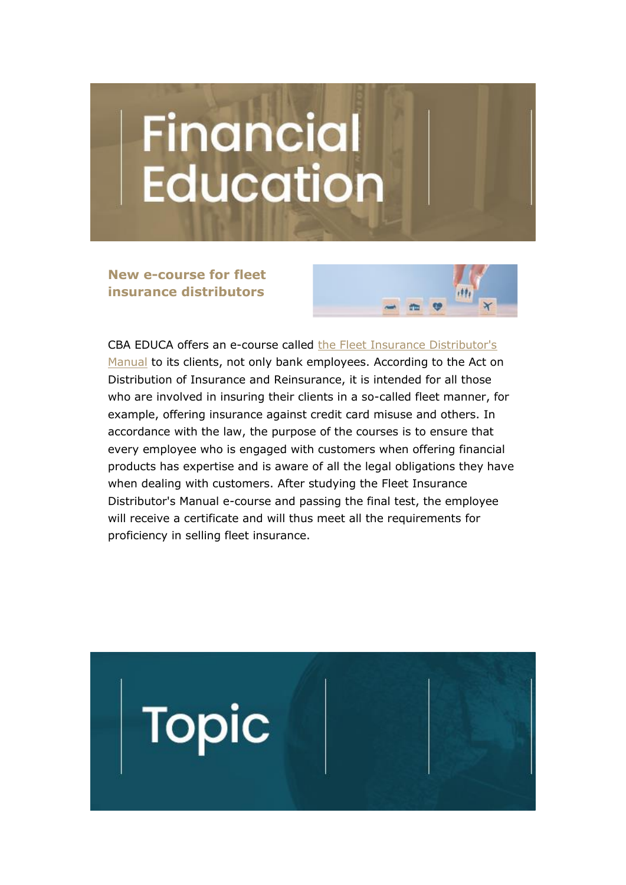## Financial **Education**

**New e-course for fleet insurance distributors**



CBA EDUCA offers an e-course called [the Fleet Insurance Distributor's](https://www.cbaeduca.cz/PZMFInformace)  [Manual](https://www.cbaeduca.cz/PZMFInformace) to its clients, not only bank employees. According to the Act on Distribution of Insurance and Reinsurance, it is intended for all those who are involved in insuring their clients in a so-called fleet manner, for example, offering insurance against credit card misuse and others. In accordance with the law, the purpose of the courses is to ensure that every employee who is engaged with customers when offering financial products has expertise and is aware of all the legal obligations they have when dealing with customers. After studying the Fleet Insurance Distributor's Manual e-course and passing the final test, the employee will receive a certificate and will thus meet all the requirements for proficiency in selling fleet insurance.

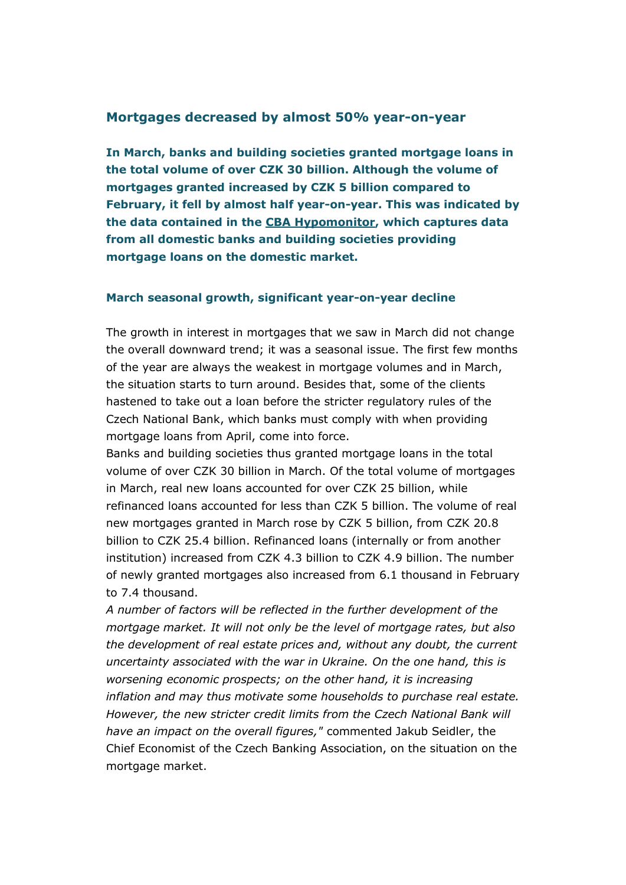#### **Mortgages decreased by almost 50% year-on-year**

**In March, banks and building societies granted mortgage loans in the total volume of over CZK 30 billion. Although the volume of mortgages granted increased by CZK 5 billion compared to February, it fell by almost half year-on-year. This was indicated by the data contained in the [CBA Hypomonitor,](https://cbaonline.cz/cba-hypomonitor-brezen-2022) which captures data from all domestic banks and building societies providing mortgage loans on the domestic market.**

#### **March seasonal growth, significant year-on-year decline**

The growth in interest in mortgages that we saw in March did not change the overall downward trend; it was a seasonal issue. The first few months of the year are always the weakest in mortgage volumes and in March, the situation starts to turn around. Besides that, some of the clients hastened to take out a loan before the stricter regulatory rules of the Czech National Bank, which banks must comply with when providing mortgage loans from April, come into force.

Banks and building societies thus granted mortgage loans in the total volume of over CZK 30 billion in March. Of the total volume of mortgages in March, real new loans accounted for over CZK 25 billion, while refinanced loans accounted for less than CZK 5 billion. The volume of real new mortgages granted in March rose by CZK 5 billion, from CZK 20.8 billion to CZK 25.4 billion. Refinanced loans (internally or from another institution) increased from CZK 4.3 billion to CZK 4.9 billion. The number of newly granted mortgages also increased from 6.1 thousand in February to 7.4 thousand.

*A number of factors will be reflected in the further development of the mortgage market. It will not only be the level of mortgage rates, but also the development of real estate prices and, without any doubt, the current uncertainty associated with the war in Ukraine. On the one hand, this is worsening economic prospects; on the other hand, it is increasing inflation and may thus motivate some households to purchase real estate. However, the new stricter credit limits from the Czech National Bank will have an impact on the overall figures,"* commented Jakub Seidler, the Chief Economist of the Czech Banking Association, on the situation on the mortgage market.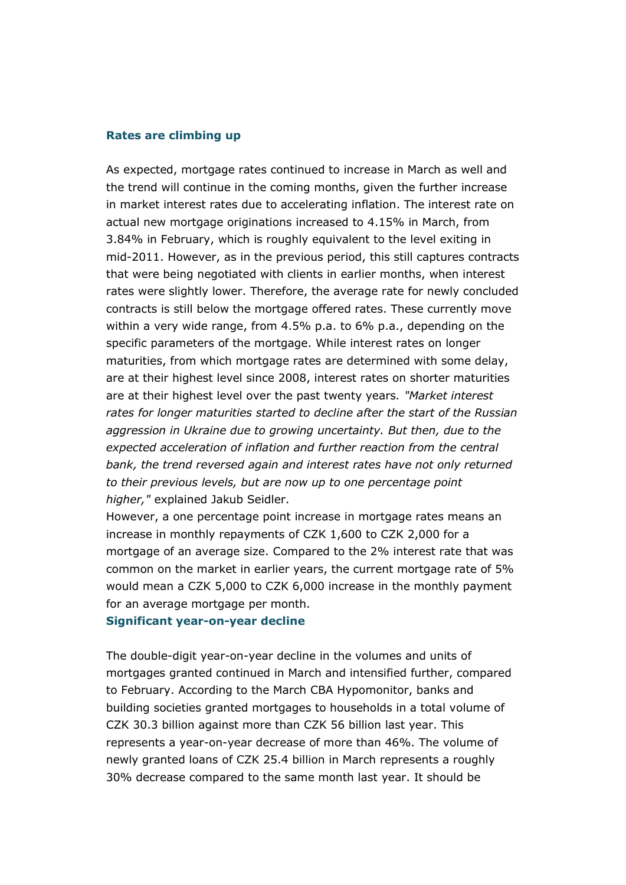#### **Rates are climbing up**

As expected, mortgage rates continued to increase in March as well and the trend will continue in the coming months, given the further increase in market interest rates due to accelerating inflation. The interest rate on actual new mortgage originations increased to 4.15% in March, from 3.84% in February, which is roughly equivalent to the level exiting in mid-2011. However, as in the previous period, this still captures contracts that were being negotiated with clients in earlier months, when interest rates were slightly lower. Therefore, the average rate for newly concluded contracts is still below the mortgage offered rates. These currently move within a very wide range, from 4.5% p.a. to 6% p.a., depending on the specific parameters of the mortgage. While interest rates on longer maturities, from which mortgage rates are determined with some delay, are at their highest level since 2008, interest rates on shorter maturities are at their highest level over the past twenty years*. "Market interest rates for longer maturities started to decline after the start of the Russian aggression in Ukraine due to growing uncertainty. But then, due to the expected acceleration of inflation and further reaction from the central bank, the trend reversed again and interest rates have not only returned to their previous levels, but are now up to one percentage point higher,"* explained Jakub Seidler.

However, a one percentage point increase in mortgage rates means an increase in monthly repayments of CZK 1,600 to CZK 2,000 for a mortgage of an average size. Compared to the 2% interest rate that was common on the market in earlier years, the current mortgage rate of 5% would mean a CZK 5,000 to CZK 6,000 increase in the monthly payment for an average mortgage per month.

#### **Significant year-on-year decline**

The double-digit year-on-year decline in the volumes and units of mortgages granted continued in March and intensified further, compared to February. According to the March CBA Hypomonitor, banks and building societies granted mortgages to households in a total volume of CZK 30.3 billion against more than CZK 56 billion last year. This represents a year-on-year decrease of more than 46%. The volume of newly granted loans of CZK 25.4 billion in March represents a roughly 30% decrease compared to the same month last year. It should be